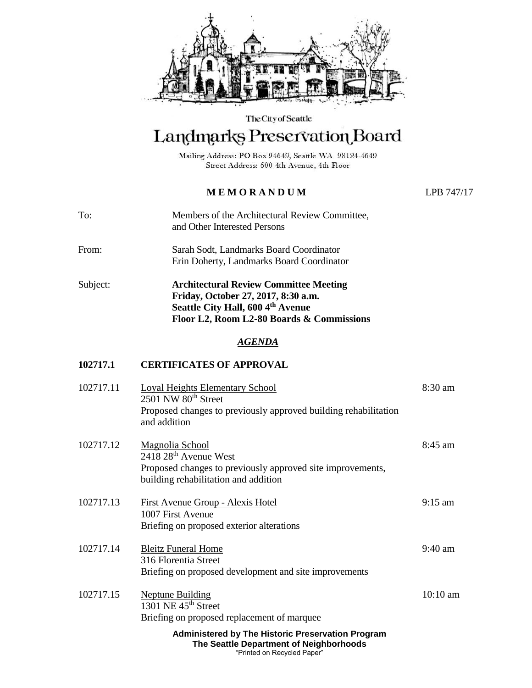

The City of Seattle

# Landmarks Preservation Board

Mailing Address: PO Box 94649, Seattle WA 98124-4649 Street Address: 600 4th Avenue, 4th Floor

## **M E M O R A N D U M** LPB 747/17

- To: Members of the Architectural Review Committee, and Other Interested Persons
- From: Sarah Sodt, Landmarks Board Coordinator Erin Doherty, Landmarks Board Coordinator
- Subject: **Architectural Review Committee Meeting Friday, October 27, 2017, 8:30 a.m. Seattle City Hall, 600 4th Avenue Floor L2, Room L2-80 Boards & Commissions**

#### *AGENDA*

### **102717.1 CERTIFICATES OF APPROVAL**

| 102717.11 | <b>Loyal Heights Elementary School</b><br>2501 NW 80 <sup>th</sup> Street<br>Proposed changes to previously approved building rehabilitation<br>and addition         | 8:30 am   |
|-----------|----------------------------------------------------------------------------------------------------------------------------------------------------------------------|-----------|
| 102717.12 | <b>Magnolia School</b><br>$2418\ 28$ <sup>th</sup> Avenue West<br>Proposed changes to previously approved site improvements,<br>building rehabilitation and addition | $8:45$ am |
| 102717.13 | <b>First Avenue Group - Alexis Hotel</b><br>1007 First Avenue<br>Briefing on proposed exterior alterations                                                           | $9:15$ am |
| 102717.14 | <b>Bleitz Funeral Home</b><br>316 Florentia Street<br>Briefing on proposed development and site improvements                                                         | $9:40$ am |
| 102717.15 | <b>Neptune Building</b><br>1301 NE $45th$ Street<br>Briefing on proposed replacement of marquee                                                                      | 10:10 am  |
|           | <b>Administered by The Historic Preservation Program</b><br>The Seattle Department of Neighborhoods                                                                  |           |

"Printed on Recycled Paper"